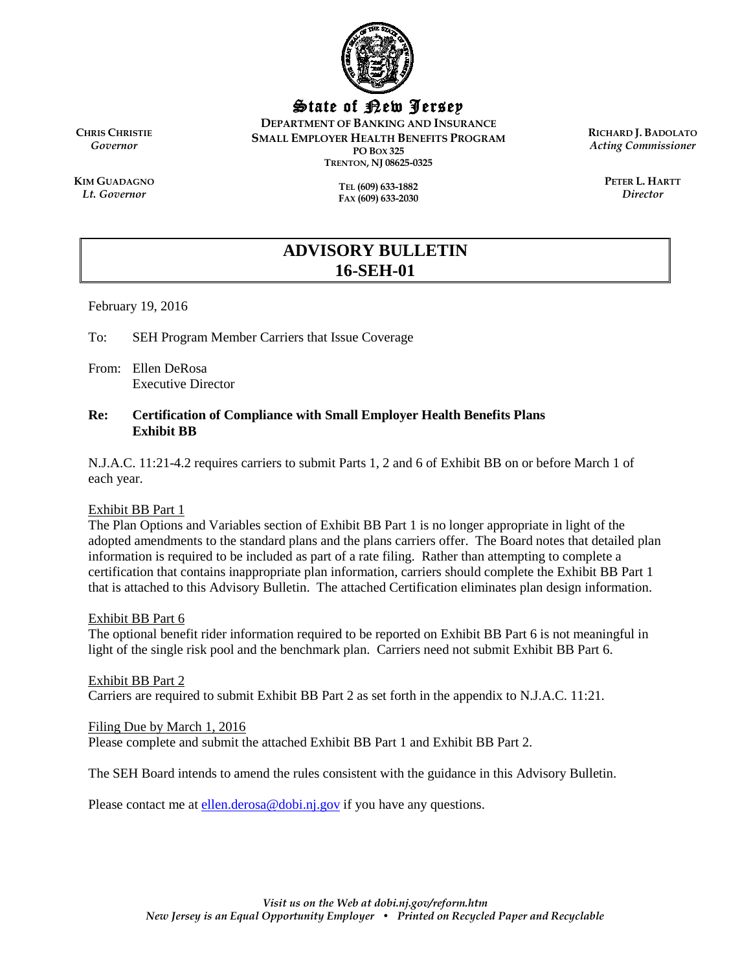

State of New Jersey

**DEPARTMENT OF BANKING AND INSURANCE SMALL EMPLOYER HEALTH BENEFITS PROGRAM PO BOX 325 TRENTON, NJ 08625-0325**

> **TEL (609) 633-1882 FAX (609) 633-2030**

**RICHARD J. BADOLATO** *Acting Commissioner*

> **PETER L. HARTT** *Director*

**CHRIS CHRISTIE** *Governor*

**KIM GUADAGNO** *Lt. Governor*

> **ADVISORY BULLETIN 16-SEH-01**

February 19, 2016

To: SEH Program Member Carriers that Issue Coverage

From: Ellen DeRosa Executive Director

#### **Re: Certification of Compliance with Small Employer Health Benefits Plans Exhibit BB**

N.J.A.C. 11:21-4.2 requires carriers to submit Parts 1, 2 and 6 of Exhibit BB on or before March 1 of each year.

#### Exhibit BB Part 1

The Plan Options and Variables section of Exhibit BB Part 1 is no longer appropriate in light of the adopted amendments to the standard plans and the plans carriers offer. The Board notes that detailed plan information is required to be included as part of a rate filing. Rather than attempting to complete a certification that contains inappropriate plan information, carriers should complete the Exhibit BB Part 1 that is attached to this Advisory Bulletin. The attached Certification eliminates plan design information.

#### Exhibit BB Part 6

The optional benefit rider information required to be reported on Exhibit BB Part 6 is not meaningful in light of the single risk pool and the benchmark plan. Carriers need not submit Exhibit BB Part 6.

Exhibit BB Part 2 Carriers are required to submit Exhibit BB Part 2 as set forth in the appendix to N.J.A.C. 11:21.

#### Filing Due by March 1, 2016

Please complete and submit the attached Exhibit BB Part 1 and Exhibit BB Part 2.

The SEH Board intends to amend the rules consistent with the guidance in this Advisory Bulletin.

Please contact me at [ellen.derosa@dobi.nj.gov](mailto:ellen.derosa@dobi.nj.gov) if you have any questions.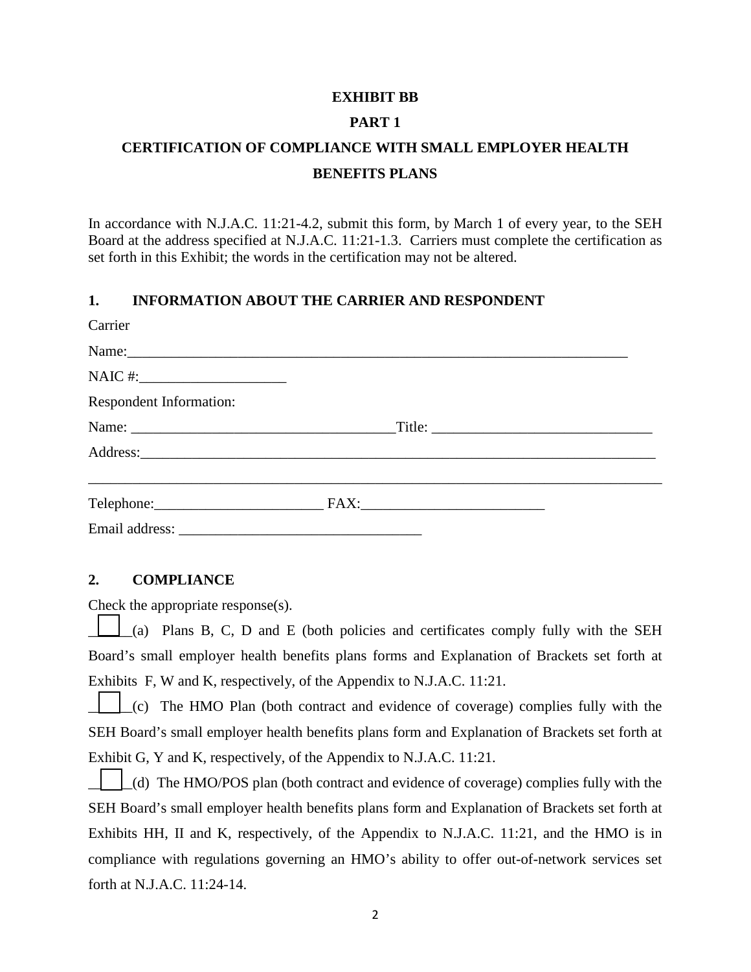### **EXHIBIT BB**

## **PART 1**

# **CERTIFICATION OF COMPLIANCE WITH SMALL EMPLOYER HEALTH BENEFITS PLANS**

In accordance with N.J.A.C. 11:21-4.2, submit this form, by March 1 of every year, to the SEH Board at the address specified at N.J.A.C. 11:21-1.3. Carriers must complete the certification as set forth in this Exhibit; the words in the certification may not be altered.

## **1. INFORMATION ABOUT THE CARRIER AND RESPONDENT**

| Carrier                 |  |  |
|-------------------------|--|--|
|                         |  |  |
|                         |  |  |
| Respondent Information: |  |  |
|                         |  |  |
|                         |  |  |
|                         |  |  |
| Email address:          |  |  |

## **2. COMPLIANCE**

Check the appropriate response(s).

\_\_\_\_\_\_(a) Plans B, C, D and E (both policies and certificates comply fully with the SEH Board's small employer health benefits plans forms and Explanation of Brackets set forth at Exhibits F, W and K, respectively, of the Appendix to N.J.A.C. 11:21.

\_\_\_\_\_\_(c) The HMO Plan (both contract and evidence of coverage) complies fully with the SEH Board's small employer health benefits plans form and Explanation of Brackets set forth at Exhibit G, Y and K, respectively, of the Appendix to N.J.A.C. 11:21.

\_\_\_\_\_\_(d) The HMO/POS plan (both contract and evidence of coverage) complies fully with the SEH Board's small employer health benefits plans form and Explanation of Brackets set forth at Exhibits HH, II and K, respectively, of the Appendix to N.J.A.C. 11:21, and the HMO is in compliance with regulations governing an HMO's ability to offer out-of-network services set forth at N.J.A.C. 11:24-14.